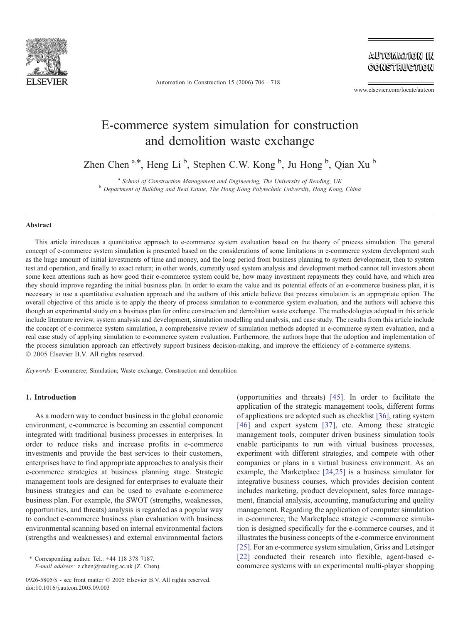

Automation in Construction 15 (2006) 706 – 718

**AUTOMATION IN** CONSTRUCTION

www.elsevier.com/locate/autcon

## E-commerce system simulation for construction and demolition waste exchange

Zhen Chen<sup>a,\*</sup>, Heng Li<sup>b</sup>, Stephen C.W. Kong<sup>b</sup>, Ju Hong<sup>b</sup>, Qian Xu<sup>b</sup>

<sup>a</sup> School of Construction Management and Engineering, The University of Reading, UK b Department of Building and Real Estate, The Hong Kong Polytechnic University, Hong Kong, China

#### Abstract

This article introduces a quantitative approach to e-commerce system evaluation based on the theory of process simulation. The general concept of e-commerce system simulation is presented based on the considerations of some limitations in e-commerce system development such as the huge amount of initial investments of time and money, and the long period from business planning to system development, then to system test and operation, and finally to exact return; in other words, currently used system analysis and development method cannot tell investors about some keen attentions such as how good their e-commerce system could be, how many investment repayments they could have, and which area they should improve regarding the initial business plan. In order to exam the value and its potential effects of an e-commerce business plan, it is necessary to use a quantitative evaluation approach and the authors of this article believe that process simulation is an appropriate option. The overall objective of this article is to apply the theory of process simulation to e-commerce system evaluation, and the authors will achieve this though an experimental study on a business plan for online construction and demolition waste exchange. The methodologies adopted in this article include literature review, system analysis and development, simulation modelling and analysis, and case study. The results from this article include the concept of e-commerce system simulation, a comprehensive review of simulation methods adopted in e-commerce system evaluation, and a real case study of applying simulation to e-commerce system evaluation. Furthermore, the authors hope that the adoption and implementation of the process simulation approach can effectively support business decision-making, and improve the efficiency of e-commerce systems.  $© 2005 Elsevier B.V. All rights reserved.$ 

Keywords: E-commerce; Simulation; Waste exchange; Construction and demolition

## 1. Introduction

As a modern way to conduct business in the global economic environment, e-commerce is becoming an essential component integrated with traditional business processes in enterprises. In order to reduce risks and increase profits in e-commerce investments and provide the best services to their customers, enterprises have to find appropriate approaches to analysis their e-commerce strategies at business planning stage. Strategic management tools are designed for enterprises to evaluate their business strategies and can be used to evaluate e-commerce business plan. For example, the SWOT (strengths, weaknesses, opportunities, and threats) analysis is regarded as a popular way to conduct e-commerce business plan evaluation with business environmental scanning based on internal environmental factors (strengths and weaknesses) and external environmental factors

\* Corresponding author. Tel.: +44 118 378 7187. E-mail address: z.chen@reading.ac.uk (Z. Chen).

0926-5805/\$ - see front matter © 2005 Elsevier B.V. All rights reserved. doi:10.1016/j.autcon.2005.09.003

(opportunities and threats) [\[45\].](#page--1-0) In order to facilitate the application of the strategic management tools, different forms of applications are adopted such as checklist [\[36\]](#page--1-0), rating system [\[46\]](#page--1-0) and expert system [\[37\],](#page--1-0) etc. Among these strategic management tools, computer driven business simulation tools enable participants to run with virtual business processes, experiment with different strategies, and compete with other companies or plans in a virtual business environment. As an example, the Marketplace [\[24,25\]](#page--1-0) is a business simulator for integrative business courses, which provides decision content includes marketing, product development, sales force management, financial analysis, accounting, manufacturing and quality management. Regarding the application of computer simulation in e-commerce, the Marketplace strategic e-commerce simulation is designed specifically for the e-commerce courses, and it illustrates the business concepts of the e-commerce environment [\[25\].](#page--1-0) For an e-commerce system simulation, Griss and Letsinger [\[22\]](#page--1-0) conducted their research into flexible, agent-based ecommerce systems with an experimental multi-player shopping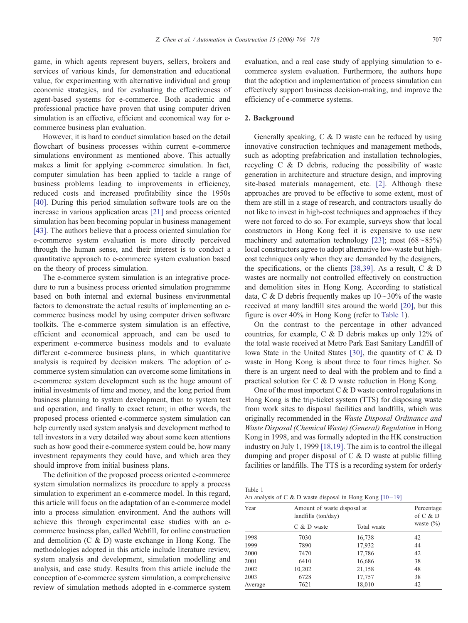game, in which agents represent buyers, sellers, brokers and services of various kinds, for demonstration and educational value, for experimenting with alternative individual and group economic strategies, and for evaluating the effectiveness of agent-based systems for e-commerce. Both academic and professional practice have proven that using computer driven simulation is an effective, efficient and economical way for ecommerce business plan evaluation.

However, it is hard to conduct simulation based on the detail flowchart of business processes within current e-commerce simulations environment as mentioned above. This actually makes a limit for applying e-commerce simulation. In fact, computer simulation has been applied to tackle a range of business problems leading to improvements in efficiency, reduced costs and increased profitability since the 1950s [\[40\].](#page--1-0) During this period simulation software tools are on the increase in various application areas [\[21\]](#page--1-0) and process oriented simulation has been becoming popular in business management [\[43\].](#page--1-0) The authors believe that a process oriented simulation for e-commerce system evaluation is more directly perceived through the human sense, and their interest is to conduct a quantitative approach to e-commerce system evaluation based on the theory of process simulation.

The e-commerce system simulation is an integrative procedure to run a business process oriented simulation programme based on both internal and external business environmental factors to demonstrate the actual results of implementing an ecommerce business model by using computer driven software toolkits. The e-commerce system simulation is an effective, efficient and economical approach, and can be used to experiment e-commerce business models and to evaluate different e-commerce business plans, in which quantitative analysis is required by decision makers. The adoption of ecommerce system simulation can overcome some limitations in e-commerce system development such as the huge amount of initial investments of time and money, and the long period from business planning to system development, then to system test and operation, and finally to exact return; in other words, the proposed process oriented e-commerce system simulation can help currently used system analysis and development method to tell investors in a very detailed way about some keen attentions such as how good their e-commerce system could be, how many investment repayments they could have, and which area they should improve from initial business plans.

The definition of the proposed process oriented e-commerce system simulation normalizes its procedure to apply a process simulation to experiment an e-commerce model. In this regard, this article will focus on the adaptation of an e-commerce model into a process simulation environment. And the authors will achieve this through experimental case studies with an ecommerce business plan, called Webfill, for online construction and demolition (C & D) waste exchange in Hong Kong. The methodologies adopted in this article include literature review, system analysis and development, simulation modelling and analysis, and case study. Results from this article include the conception of e-commerce system simulation, a comprehensive review of simulation methods adopted in e-commerce system

evaluation, and a real case study of applying simulation to ecommerce system evaluation. Furthermore, the authors hope that the adoption and implementation of process simulation can effectively support business decision-making, and improve the efficiency of e-commerce systems.

### 2. Background

Generally speaking, C & D waste can be reduced by using innovative construction techniques and management methods, such as adopting prefabrication and installation technologies, recycling C & D debris, reducing the possibility of waste generation in architecture and structure design, and improving site-based materials management, etc. [\[2\].](#page--1-0) Although these approaches are proved to be effective to some extent, most of them are still in a stage of research, and contractors usually do not like to invest in high-cost techniques and approaches if they were not forced to do so. For example, surveys show that local constructors in Hong Kong feel it is expensive to use new machinery and automation technology [\[23\];](#page--1-0) most  $(68 \sim 85\%)$ local constructors agree to adopt alternative low-waste but highcost techniques only when they are demanded by the designers, the specifications, or the clients [\[38,39\].](#page--1-0) As a result, C & D wastes are normally not controlled effectively on construction and demolition sites in Hong Kong. According to statistical data, C & D debris frequently makes up  $10 \sim 30\%$  of the waste received at many landfill sites around the world [\[20\],](#page--1-0) but this figure is over 40% in Hong Kong (refer to Table 1).

On the contrast to the percentage in other advanced countries, for example, C & D debris makes up only 12% of the total waste received at Metro Park East Sanitary Landfill of Iowa State in the United States [\[30\]](#page--1-0), the quantity of C & D waste in Hong Kong is about three to four times higher. So there is an urgent need to deal with the problem and to find a practical solution for C & D waste reduction in Hong Kong.

One of the most important C & D waste control regulations in Hong Kong is the trip-ticket system (TTS) for disposing waste from work sites to disposal facilities and landfills, which was originally recommended in the Waste Disposal Ordinance and Waste Disposal (Chemical Waste) (General) Regulation in Hong Kong in 1998, and was formally adopted in the HK construction industry on July 1, 1999 [\[18,19\].](#page--1-0) The aim is to control the illegal dumping and proper disposal of C & D waste at public filling facilities or landfills. The TTS is a recording system for orderly

| Table 1                                                    |  |  |  |  |  |
|------------------------------------------------------------|--|--|--|--|--|
| An analysis of C & D waste disposal in Hong Kong $[10-19]$ |  |  |  |  |  |

| Year    | Amount of waste disposal at<br>landfills (ton/day) | Percentage<br>of $C & D$ |               |
|---------|----------------------------------------------------|--------------------------|---------------|
|         | C & D waste                                        | Total waste              | waste $(\% )$ |
| 1998    | 7030                                               | 16,738                   | 42            |
| 1999    | 7890                                               | 17,932                   | 44            |
| 2000    | 7470                                               | 17,786                   | 42            |
| 2001    | 6410                                               | 16,686                   | 38            |
| 2002    | 10,202                                             | 21,158                   | 48            |
| 2003    | 6728                                               | 17,757                   | 38            |
| Average | 7621                                               | 18,010                   | 42            |